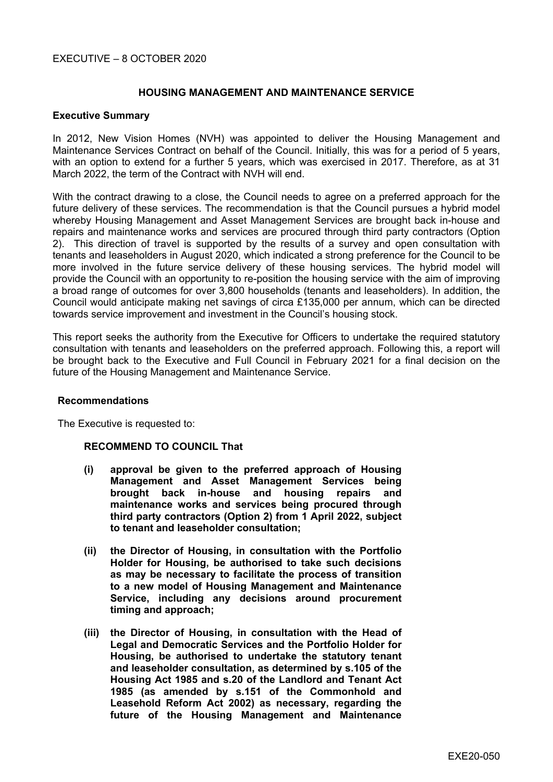# EXECUTIVE – 8 OCTOBER 2020

## **HOUSING MANAGEMENT AND MAINTENANCE SERVICE**

## **Executive Summary**

In 2012, New Vision Homes (NVH) was appointed to deliver the Housing Management and Maintenance Services Contract on behalf of the Council. Initially, this was for a period of 5 years, with an option to extend for a further 5 years, which was exercised in 2017. Therefore, as at 31 March 2022, the term of the Contract with NVH will end.

With the contract drawing to a close, the Council needs to agree on a preferred approach for the future delivery of these services. The recommendation is that the Council pursues a hybrid model whereby Housing Management and Asset Management Services are brought back in-house and repairs and maintenance works and services are procured through third party contractors (Option 2). This direction of travel is supported by the results of a survey and open consultation with tenants and leaseholders in August 2020, which indicated a strong preference for the Council to be more involved in the future service delivery of these housing services. The hybrid model will provide the Council with an opportunity to re-position the housing service with the aim of improving a broad range of outcomes for over 3,800 households (tenants and leaseholders). In addition, the Council would anticipate making net savings of circa £135,000 per annum, which can be directed towards service improvement and investment in the Council's housing stock.

This report seeks the authority from the Executive for Officers to undertake the required statutory consultation with tenants and leaseholders on the preferred approach. Following this, a report will be brought back to the Executive and Full Council in February 2021 for a final decision on the future of the Housing Management and Maintenance Service.

### **Recommendations**

The Executive is requested to:

### **RECOMMEND TO COUNCIL That**

- **(i) approval be given to the preferred approach of Housing Management and Asset Management Services being brought back in-house and housing repairs and maintenance works and services being procured through third party contractors (Option 2) from 1 April 2022, subject to tenant and leaseholder consultation;**
- **(ii) the Director of Housing, in consultation with the Portfolio Holder for Housing, be authorised to take such decisions as may be necessary to facilitate the process of transition to a new model of Housing Management and Maintenance Service, including any decisions around procurement timing and approach;**
- **(iii) the Director of Housing, in consultation with the Head of Legal and Democratic Services and the Portfolio Holder for Housing, be authorised to undertake the statutory tenant and leaseholder consultation, as determined by s.105 of the Housing Act 1985 and s.20 of the Landlord and Tenant Act 1985 (as amended by s.151 of the Commonhold and Leasehold Reform Act 2002) as necessary, regarding the future of the Housing Management and Maintenance**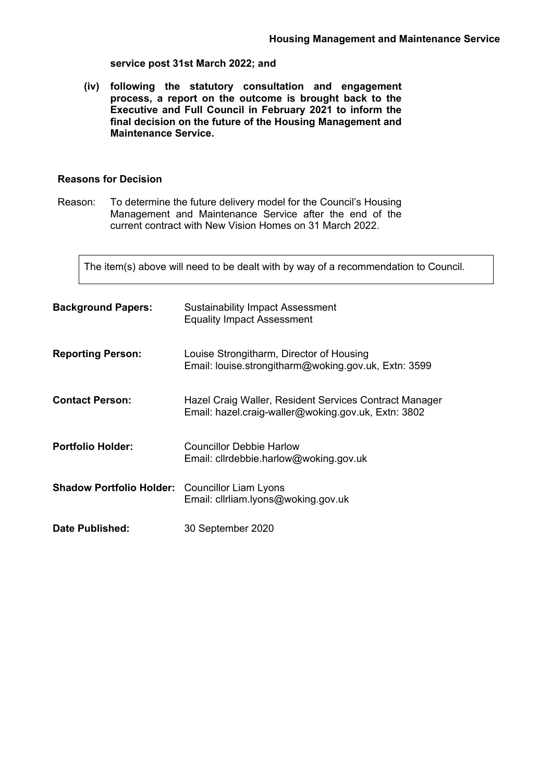### **service post 31st March 2022; and**

**(iv) following the statutory consultation and engagement process, a report on the outcome is brought back to the Executive and Full Council in February 2021 to inform the final decision on the future of the Housing Management and Maintenance Service.**

## **Reasons for Decision**

Reason: To determine the future delivery model for the Council's Housing Management and Maintenance Service after the end of the current contract with New Vision Homes on 31 March 2022.

The item(s) above will need to be dealt with by way of a recommendation to Council.

| <b>Background Papers:</b>       | <b>Sustainability Impact Assessment</b><br><b>Equality Impact Assessment</b>                                  |  |
|---------------------------------|---------------------------------------------------------------------------------------------------------------|--|
| <b>Reporting Person:</b>        | Louise Strongitharm, Director of Housing<br>Email: louise.strongitharm@woking.gov.uk, Extn: 3599              |  |
| <b>Contact Person:</b>          | Hazel Craig Waller, Resident Services Contract Manager<br>Email: hazel.craig-waller@woking.gov.uk, Extn: 3802 |  |
| <b>Portfolio Holder:</b>        | Councillor Debbie Harlow<br>Email: cllrdebbie.harlow@woking.gov.uk                                            |  |
| <b>Shadow Portfolio Holder:</b> | <b>Councillor Liam Lyons</b><br>Email: clirliam.lyons@woking.gov.uk                                           |  |
| Date Published:                 | 30 September 2020                                                                                             |  |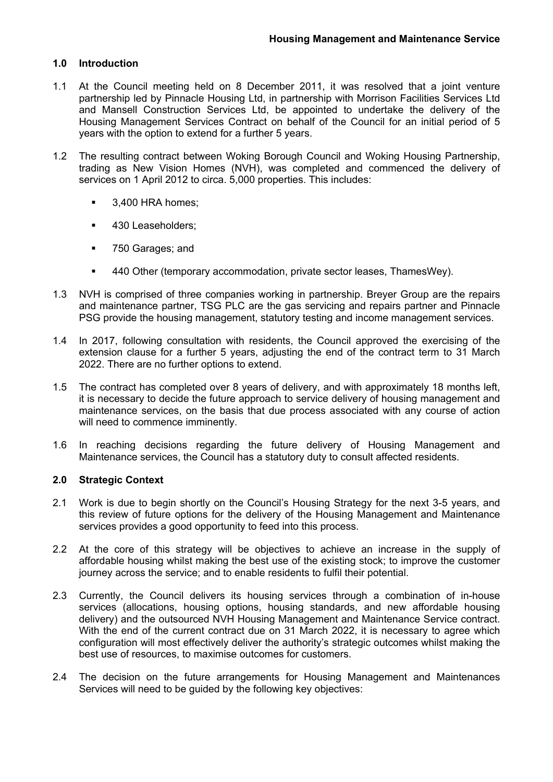# **1.0 Introduction**

- 1.1 At the Council meeting held on 8 December 2011, it was resolved that a joint venture partnership led by Pinnacle Housing Ltd, in partnership with Morrison Facilities Services Ltd and Mansell Construction Services Ltd, be appointed to undertake the delivery of the Housing Management Services Contract on behalf of the Council for an initial period of 5 years with the option to extend for a further 5 years.
- 1.2 The resulting contract between Woking Borough Council and Woking Housing Partnership, trading as New Vision Homes (NVH), was completed and commenced the delivery of services on 1 April 2012 to circa. 5,000 properties. This includes:
	- **3,400 HRA homes;**
	- **430 Leaseholders;**
	- 750 Garages; and
	- 440 Other (temporary accommodation, private sector leases, ThamesWey).
- 1.3 NVH is comprised of three companies working in partnership. Breyer Group are the repairs and maintenance partner, TSG PLC are the gas servicing and repairs partner and Pinnacle PSG provide the housing management, statutory testing and income management services.
- 1.4 In 2017, following consultation with residents, the Council approved the exercising of the extension clause for a further 5 years, adjusting the end of the contract term to 31 March 2022. There are no further options to extend.
- 1.5 The contract has completed over 8 years of delivery, and with approximately 18 months left, it is necessary to decide the future approach to service delivery of housing management and maintenance services, on the basis that due process associated with any course of action will need to commence imminently.
- 1.6 In reaching decisions regarding the future delivery of Housing Management and Maintenance services, the Council has a statutory duty to consult affected residents.

## **2.0 Strategic Context**

- 2.1 Work is due to begin shortly on the Council's Housing Strategy for the next 3-5 years, and this review of future options for the delivery of the Housing Management and Maintenance services provides a good opportunity to feed into this process.
- 2.2 At the core of this strategy will be objectives to achieve an increase in the supply of affordable housing whilst making the best use of the existing stock; to improve the customer journey across the service; and to enable residents to fulfil their potential.
- 2.3 Currently, the Council delivers its housing services through a combination of in-house services (allocations, housing options, housing standards, and new affordable housing delivery) and the outsourced NVH Housing Management and Maintenance Service contract. With the end of the current contract due on 31 March 2022, it is necessary to agree which configuration will most effectively deliver the authority's strategic outcomes whilst making the best use of resources, to maximise outcomes for customers.
- 2.4 The decision on the future arrangements for Housing Management and Maintenances Services will need to be guided by the following key objectives: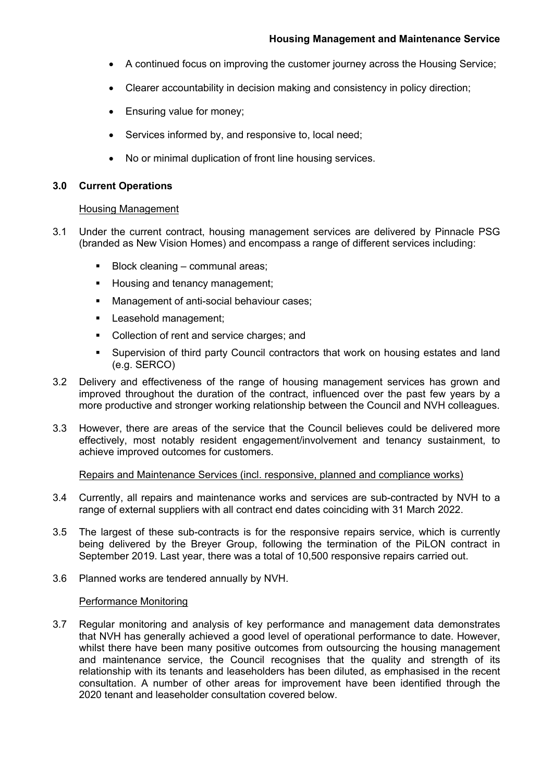- A continued focus on improving the customer journey across the Housing Service;
- Clearer accountability in decision making and consistency in policy direction;
- Ensuring value for money;
- Services informed by, and responsive to, local need;
- No or minimal duplication of front line housing services.

## **3.0 Current Operations**

### Housing Management

- 3.1 Under the current contract, housing management services are delivered by Pinnacle PSG (branded as New Vision Homes) and encompass a range of different services including:
	- Block cleaning communal areas;
	- Housing and tenancy management;
	- **Management of anti-social behaviour cases;**
	- **Leasehold management;**
	- Collection of rent and service charges; and
	- Supervision of third party Council contractors that work on housing estates and land (e.g. SERCO)
- 3.2 Delivery and effectiveness of the range of housing management services has grown and improved throughout the duration of the contract, influenced over the past few years by a more productive and stronger working relationship between the Council and NVH colleagues.
- 3.3 However, there are areas of the service that the Council believes could be delivered more effectively, most notably resident engagement/involvement and tenancy sustainment, to achieve improved outcomes for customers.

### Repairs and Maintenance Services (incl. responsive, planned and compliance works)

- 3.4 Currently, all repairs and maintenance works and services are sub-contracted by NVH to a range of external suppliers with all contract end dates coinciding with 31 March 2022.
- 3.5 The largest of these sub-contracts is for the responsive repairs service, which is currently being delivered by the Breyer Group, following the termination of the PiLON contract in September 2019. Last year, there was a total of 10,500 responsive repairs carried out.
- 3.6 Planned works are tendered annually by NVH.

### Performance Monitoring

3.7 Regular monitoring and analysis of key performance and management data demonstrates that NVH has generally achieved a good level of operational performance to date. However, whilst there have been many positive outcomes from outsourcing the housing management and maintenance service, the Council recognises that the quality and strength of its relationship with its tenants and leaseholders has been diluted, as emphasised in the recent consultation. A number of other areas for improvement have been identified through the 2020 tenant and leaseholder consultation covered below.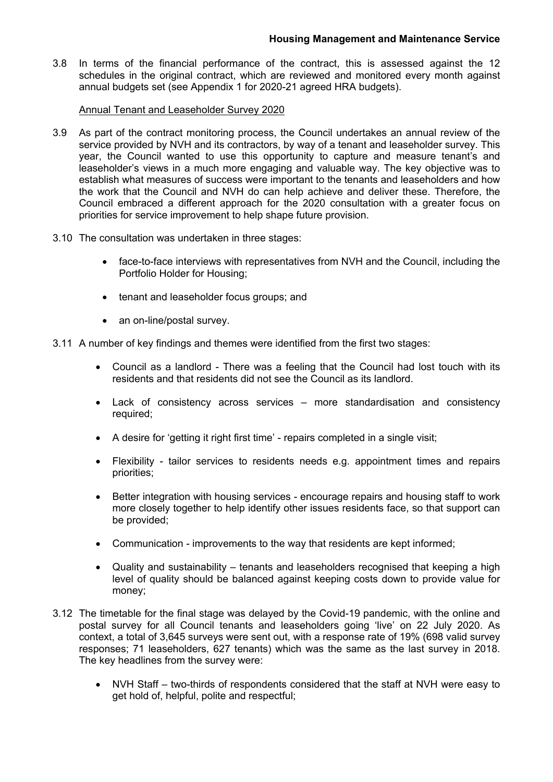3.8 In terms of the financial performance of the contract, this is assessed against the 12 schedules in the original contract, which are reviewed and monitored every month against annual budgets set (see Appendix 1 for 2020-21 agreed HRA budgets).

## Annual Tenant and Leaseholder Survey 2020

- 3.9 As part of the contract monitoring process, the Council undertakes an annual review of the service provided by NVH and its contractors, by way of a tenant and leaseholder survey. This year, the Council wanted to use this opportunity to capture and measure tenant's and leaseholder's views in a much more engaging and valuable way. The key objective was to establish what measures of success were important to the tenants and leaseholders and how the work that the Council and NVH do can help achieve and deliver these. Therefore, the Council embraced a different approach for the 2020 consultation with a greater focus on priorities for service improvement to help shape future provision.
- 3.10 The consultation was undertaken in three stages:
	- face-to-face interviews with representatives from NVH and the Council, including the Portfolio Holder for Housing;
	- tenant and leaseholder focus groups; and
	- an on-line/postal survey.
- 3.11 A number of key findings and themes were identified from the first two stages:
	- Council as a landlord There was a feeling that the Council had lost touch with its residents and that residents did not see the Council as its landlord.
	- Lack of consistency across services more standardisation and consistency required;
	- A desire for 'getting it right first time' repairs completed in a single visit;
	- Flexibility tailor services to residents needs e.g. appointment times and repairs priorities;
	- Better integration with housing services encourage repairs and housing staff to work more closely together to help identify other issues residents face, so that support can be provided;
	- Communication improvements to the way that residents are kept informed;
	- Quality and sustainability tenants and leaseholders recognised that keeping a high level of quality should be balanced against keeping costs down to provide value for money;
- 3.12 The timetable for the final stage was delayed by the Covid-19 pandemic, with the online and postal survey for all Council tenants and leaseholders going 'live' on 22 July 2020. As context, a total of 3,645 surveys were sent out, with a response rate of 19% (698 valid survey responses; 71 leaseholders, 627 tenants) which was the same as the last survey in 2018. The key headlines from the survey were:
	- NVH Staff two-thirds of respondents considered that the staff at NVH were easy to get hold of, helpful, polite and respectful;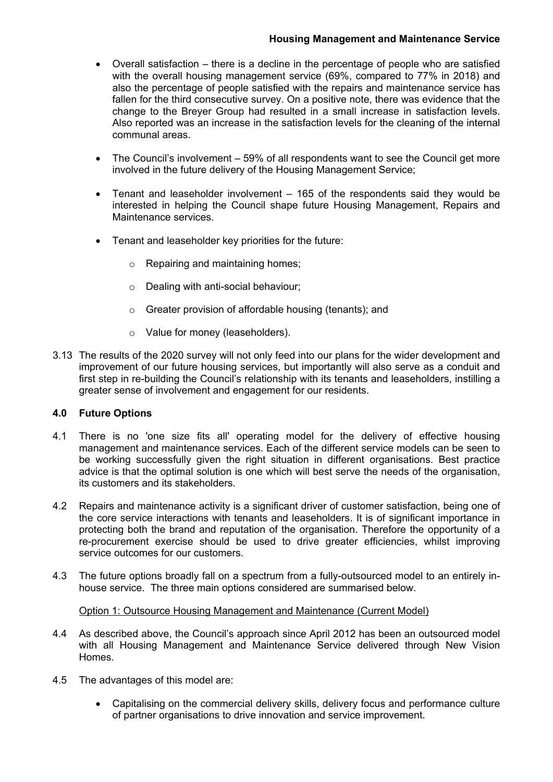# **Housing Management and Maintenance Service**

- Overall satisfaction there is a decline in the percentage of people who are satisfied with the overall housing management service (69%, compared to 77% in 2018) and also the percentage of people satisfied with the repairs and maintenance service has fallen for the third consecutive survey. On a positive note, there was evidence that the change to the Breyer Group had resulted in a small increase in satisfaction levels. Also reported was an increase in the satisfaction levels for the cleaning of the internal communal areas.
- The Council's involvement 59% of all respondents want to see the Council get more involved in the future delivery of the Housing Management Service;
- Tenant and leaseholder involvement 165 of the respondents said they would be interested in helping the Council shape future Housing Management, Repairs and Maintenance services.
- Tenant and leaseholder key priorities for the future:
	- o Repairing and maintaining homes;
	- o Dealing with anti-social behaviour;
	- o Greater provision of affordable housing (tenants); and
	- o Value for money (leaseholders).
- 3.13 The results of the 2020 survey will not only feed into our plans for the wider development and improvement of our future housing services, but importantly will also serve as a conduit and first step in re-building the Council's relationship with its tenants and leaseholders, instilling a greater sense of involvement and engagement for our residents.

## **4.0 Future Options**

- 4.1 There is no 'one size fits all' operating model for the delivery of effective housing management and maintenance services. Each of the different service models can be seen to be working successfully given the right situation in different organisations. Best practice advice is that the optimal solution is one which will best serve the needs of the organisation, its customers and its stakeholders.
- 4.2 Repairs and maintenance activity is a significant driver of customer satisfaction, being one of the core service interactions with tenants and leaseholders. It is of significant importance in protecting both the brand and reputation of the organisation. Therefore the opportunity of a re-procurement exercise should be used to drive greater efficiencies, whilst improving service outcomes for our customers.
- 4.3 The future options broadly fall on a spectrum from a fully-outsourced model to an entirely inhouse service. The three main options considered are summarised below.

## Option 1: Outsource Housing Management and Maintenance (Current Model)

- 4.4 As described above, the Council's approach since April 2012 has been an outsourced model with all Housing Management and Maintenance Service delivered through New Vision Homes.
- 4.5 The advantages of this model are:
	- Capitalising on the commercial delivery skills, delivery focus and performance culture of partner organisations to drive innovation and service improvement.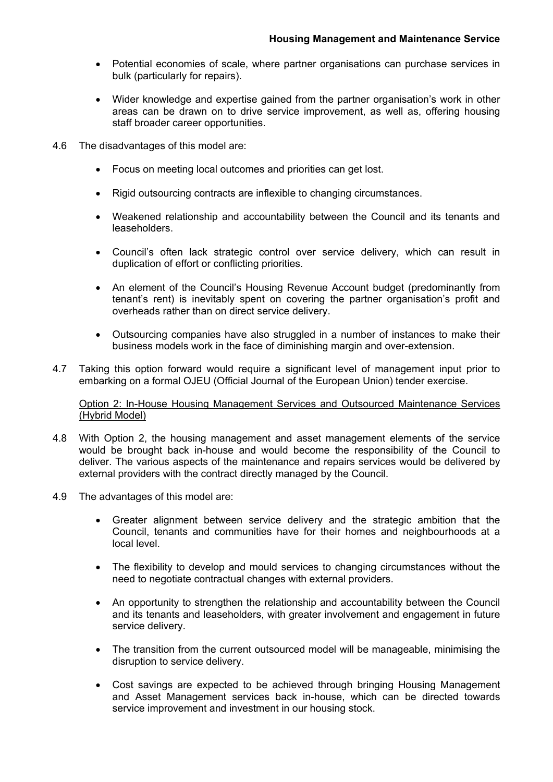- Potential economies of scale, where partner organisations can purchase services in bulk (particularly for repairs).
- Wider knowledge and expertise gained from the partner organisation's work in other areas can be drawn on to drive service improvement, as well as, offering housing staff broader career opportunities.
- 4.6 The disadvantages of this model are:
	- Focus on meeting local outcomes and priorities can get lost.
	- Rigid outsourcing contracts are inflexible to changing circumstances.
	- Weakened relationship and accountability between the Council and its tenants and leaseholders.
	- Council's often lack strategic control over service delivery, which can result in duplication of effort or conflicting priorities.
	- An element of the Council's Housing Revenue Account budget (predominantly from tenant's rent) is inevitably spent on covering the partner organisation's profit and overheads rather than on direct service delivery.
	- Outsourcing companies have also struggled in a number of instances to make their business models work in the face of diminishing margin and over-extension.
- 4.7 Taking this option forward would require a significant level of management input prior to embarking on a formal OJEU (Official Journal of the European Union) tender exercise.

Option 2: In-House Housing Management Services and Outsourced Maintenance Services (Hybrid Model)

- 4.8 With Option 2, the housing management and asset management elements of the service would be brought back in-house and would become the responsibility of the Council to deliver. The various aspects of the maintenance and repairs services would be delivered by external providers with the contract directly managed by the Council.
- 4.9 The advantages of this model are:
	- Greater alignment between service delivery and the strategic ambition that the Council, tenants and communities have for their homes and neighbourhoods at a local level.
	- The flexibility to develop and mould services to changing circumstances without the need to negotiate contractual changes with external providers.
	- An opportunity to strengthen the relationship and accountability between the Council and its tenants and leaseholders, with greater involvement and engagement in future service delivery.
	- The transition from the current outsourced model will be manageable, minimising the disruption to service delivery.
	- Cost savings are expected to be achieved through bringing Housing Management and Asset Management services back in-house, which can be directed towards service improvement and investment in our housing stock.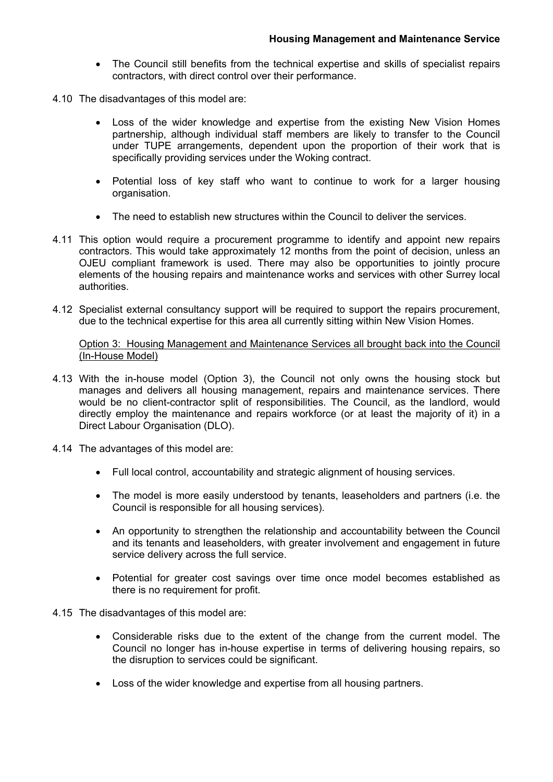- The Council still benefits from the technical expertise and skills of specialist repairs contractors, with direct control over their performance.
- 4.10 The disadvantages of this model are:
	- Loss of the wider knowledge and expertise from the existing New Vision Homes partnership, although individual staff members are likely to transfer to the Council under TUPE arrangements, dependent upon the proportion of their work that is specifically providing services under the Woking contract.
	- Potential loss of key staff who want to continue to work for a larger housing organisation.
	- The need to establish new structures within the Council to deliver the services.
- 4.11 This option would require a procurement programme to identify and appoint new repairs contractors. This would take approximately 12 months from the point of decision, unless an OJEU compliant framework is used. There may also be opportunities to jointly procure elements of the housing repairs and maintenance works and services with other Surrey local authorities.
- 4.12 Specialist external consultancy support will be required to support the repairs procurement, due to the technical expertise for this area all currently sitting within New Vision Homes.

Option 3: Housing Management and Maintenance Services all brought back into the Council (In-House Model)

- 4.13 With the in-house model (Option 3), the Council not only owns the housing stock but manages and delivers all housing management, repairs and maintenance services. There would be no client-contractor split of responsibilities. The Council, as the landlord, would directly employ the maintenance and repairs workforce (or at least the majority of it) in a Direct Labour Organisation (DLO).
- 4.14 The advantages of this model are:
	- Full local control, accountability and strategic alignment of housing services.
	- The model is more easily understood by tenants, leaseholders and partners (i.e. the Council is responsible for all housing services).
	- An opportunity to strengthen the relationship and accountability between the Council and its tenants and leaseholders, with greater involvement and engagement in future service delivery across the full service.
	- Potential for greater cost savings over time once model becomes established as there is no requirement for profit.
- 4.15 The disadvantages of this model are:
	- Considerable risks due to the extent of the change from the current model. The Council no longer has in-house expertise in terms of delivering housing repairs, so the disruption to services could be significant.
	- Loss of the wider knowledge and expertise from all housing partners.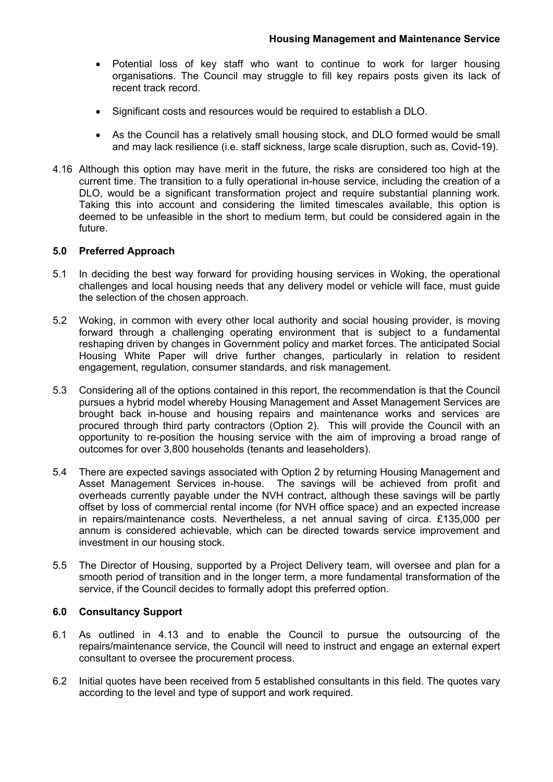- Potential loss of key staff who want to continue to work for larger housing organisations. The Council may struggle to fill key repairs posts given its lack of recent track record.
- Significant costs and resources would be required to establish a DLO.
- As the Council has a relatively small housing stock, and DLO formed would be small and may lack resilience (i.e. staff sickness, large scale disruption, such as, Covid-19).
- 4.16 Although this option may have merit in the future, the risks are considered too high at the current time. The transition to a fully operational in-house service, including the creation of a DLO, would be a significant transformation project and require substantial planning work. Taking this into account and considering the limited timescales available, this option is deemed to be unfeasible in the short to medium term, but could be considered again in the future.

## **5.0 Preferred Approach**

- 5.1 In deciding the best way forward for providing housing services in Woking, the operational challenges and local housing needs that any delivery model or vehicle will face, must guide the selection of the chosen approach.
- 5.2 Woking, in common with every other local authority and social housing provider, is moving forward through a challenging operating environment that is subject to a fundamental reshaping driven by changes in Government policy and market forces. The anticipated Social Housing White Paper will drive further changes, particularly in relation to resident engagement, regulation, consumer standards, and risk management.
- 5.3 Considering all of the options contained in this report, the recommendation is that the Council pursues a hybrid model whereby Housing Management and Asset Management Services are brought back in-house and housing repairs and maintenance works and services are procured through third party contractors (Option 2). This will provide the Council with an opportunity to re-position the housing service with the aim of improving a broad range of outcomes for over 3,800 households (tenants and leaseholders).
- 5.4 There are expected savings associated with Option 2 by returning Housing Management and Asset Management Services in-house. The savings will be achieved from profit and overheads currently payable under the NVH contract, although these savings will be partly offset by loss of commercial rental income (for NVH office space) and an expected increase in repairs/maintenance costs. Nevertheless, a net annual saving of circa. £135,000 per annum is considered achievable, which can be directed towards service improvement and investment in our housing stock.
- 5.5 The Director of Housing, supported by a Project Delivery team, will oversee and plan for a smooth period of transition and in the longer term, a more fundamental transformation of the service, if the Council decides to formally adopt this preferred option.

## **6.0 Consultancy Support**

- 6.1 As outlined in 4.13 and to enable the Council to pursue the outsourcing of the repairs/maintenance service, the Council will need to instruct and engage an external expert consultant to oversee the procurement process.
- 6.2 Initial quotes have been received from 5 established consultants in this field. The quotes vary according to the level and type of support and work required.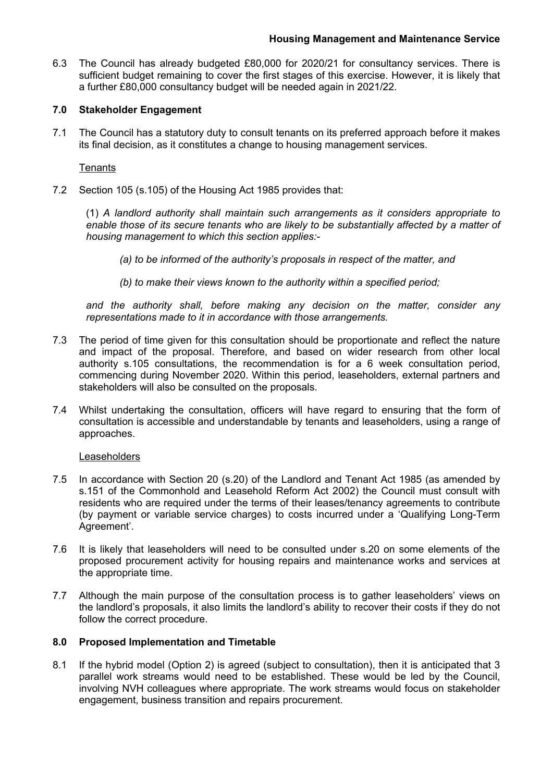6.3 The Council has already budgeted £80,000 for 2020/21 for consultancy services. There is sufficient budget remaining to cover the first stages of this exercise. However, it is likely that a further £80,000 consultancy budget will be needed again in 2021/22.

## **7.0 Stakeholder Engagement**

7.1 The Council has a statutory duty to consult tenants on its preferred approach before it makes its final decision, as it constitutes a change to housing management services.

**Tenants** 

7.2 Section 105 (s.105) of the Housing Act 1985 provides that:

(1) *A landlord authority shall maintain such arrangements as it considers appropriate to enable those of its secure tenants who are likely to be substantially affected by a matter of housing management to which this section applies:-*

- *(a) to be informed of the authority's proposals in respect of the matter, and*
- *(b) to make their views known to the authority within a specified period;*

*and the authority shall, before making any decision on the matter, consider any representations made to it in accordance with those arrangements.*

- 7.3 The period of time given for this consultation should be proportionate and reflect the nature and impact of the proposal. Therefore, and based on wider research from other local authority s.105 consultations, the recommendation is for a 6 week consultation period, commencing during November 2020. Within this period, leaseholders, external partners and stakeholders will also be consulted on the proposals.
- 7.4 Whilst undertaking the consultation, officers will have regard to ensuring that the form of consultation is accessible and understandable by tenants and leaseholders, using a range of approaches.

Leaseholders

- 7.5 In accordance with Section 20 (s.20) of the Landlord and Tenant Act 1985 (as amended by s.151 of the Commonhold and Leasehold Reform Act 2002) the Council must consult with residents who are required under the terms of their leases/tenancy agreements to contribute (by payment or variable service charges) to costs incurred under a 'Qualifying Long-Term Agreement'.
- 7.6 It is likely that leaseholders will need to be consulted under s.20 on some elements of the proposed procurement activity for housing repairs and maintenance works and services at the appropriate time.
- 7.7 Although the main purpose of the consultation process is to gather leaseholders' views on the landlord's proposals, it also limits the landlord's ability to recover their costs if they do not follow the correct procedure.

### **8.0 Proposed Implementation and Timetable**

8.1 If the hybrid model (Option 2) is agreed (subject to consultation), then it is anticipated that 3 parallel work streams would need to be established. These would be led by the Council, involving NVH colleagues where appropriate. The work streams would focus on stakeholder engagement, business transition and repairs procurement.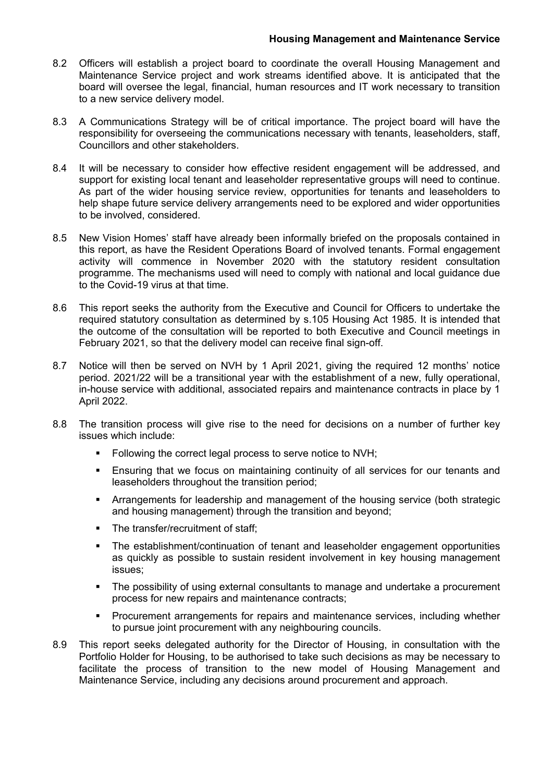- 8.2 Officers will establish a project board to coordinate the overall Housing Management and Maintenance Service project and work streams identified above. It is anticipated that the board will oversee the legal, financial, human resources and IT work necessary to transition to a new service delivery model.
- 8.3 A Communications Strategy will be of critical importance. The project board will have the responsibility for overseeing the communications necessary with tenants, leaseholders, staff, Councillors and other stakeholders.
- 8.4 It will be necessary to consider how effective resident engagement will be addressed, and support for existing local tenant and leaseholder representative groups will need to continue. As part of the wider housing service review, opportunities for tenants and leaseholders to help shape future service delivery arrangements need to be explored and wider opportunities to be involved, considered.
- 8.5 New Vision Homes' staff have already been informally briefed on the proposals contained in this report, as have the Resident Operations Board of involved tenants. Formal engagement activity will commence in November 2020 with the statutory resident consultation programme. The mechanisms used will need to comply with national and local guidance due to the Covid-19 virus at that time.
- 8.6 This report seeks the authority from the Executive and Council for Officers to undertake the required statutory consultation as determined by s.105 Housing Act 1985. It is intended that the outcome of the consultation will be reported to both Executive and Council meetings in February 2021, so that the delivery model can receive final sign-off.
- 8.7 Notice will then be served on NVH by 1 April 2021, giving the required 12 months' notice period. 2021/22 will be a transitional year with the establishment of a new, fully operational, in-house service with additional, associated repairs and maintenance contracts in place by 1 April 2022.
- 8.8 The transition process will give rise to the need for decisions on a number of further key issues which include:
	- Following the correct legal process to serve notice to NVH;
	- Ensuring that we focus on maintaining continuity of all services for our tenants and leaseholders throughout the transition period;
	- Arrangements for leadership and management of the housing service (both strategic and housing management) through the transition and beyond;
	- The transfer/recruitment of staff:
	- The establishment/continuation of tenant and leaseholder engagement opportunities as quickly as possible to sustain resident involvement in key housing management issues;
	- The possibility of using external consultants to manage and undertake a procurement process for new repairs and maintenance contracts;
	- **Procurement arrangements for repairs and maintenance services, including whether** to pursue joint procurement with any neighbouring councils.
- 8.9 This report seeks delegated authority for the Director of Housing, in consultation with the Portfolio Holder for Housing, to be authorised to take such decisions as may be necessary to facilitate the process of transition to the new model of Housing Management and Maintenance Service, including any decisions around procurement and approach.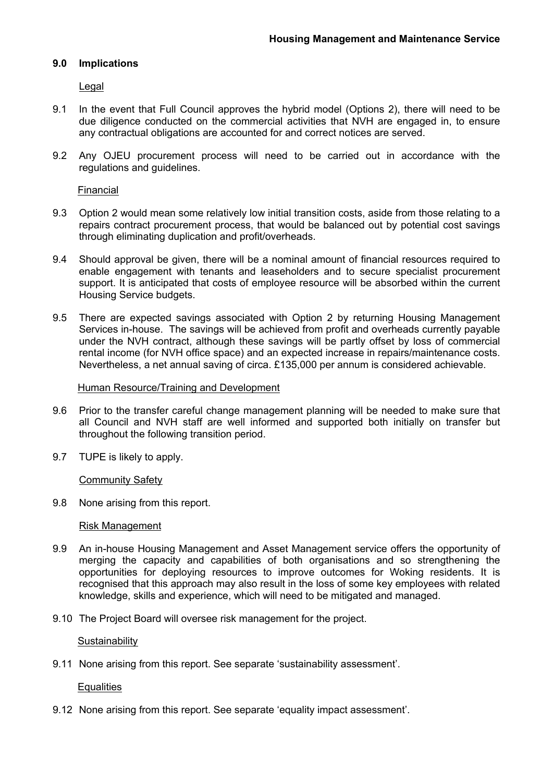## **9.0 Implications**

Legal

- 9.1 In the event that Full Council approves the hybrid model (Options 2), there will need to be due diligence conducted on the commercial activities that NVH are engaged in, to ensure any contractual obligations are accounted for and correct notices are served.
- 9.2 Any OJEU procurement process will need to be carried out in accordance with the regulations and guidelines.

Financial

- 9.3 Option 2 would mean some relatively low initial transition costs, aside from those relating to a repairs contract procurement process, that would be balanced out by potential cost savings through eliminating duplication and profit/overheads.
- 9.4 Should approval be given, there will be a nominal amount of financial resources required to enable engagement with tenants and leaseholders and to secure specialist procurement support. It is anticipated that costs of employee resource will be absorbed within the current Housing Service budgets.
- 9.5 There are expected savings associated with Option 2 by returning Housing Management Services in-house. The savings will be achieved from profit and overheads currently payable under the NVH contract, although these savings will be partly offset by loss of commercial rental income (for NVH office space) and an expected increase in repairs/maintenance costs. Nevertheless, a net annual saving of circa. £135,000 per annum is considered achievable.

#### Human Resource/Training and Development

- 9.6 Prior to the transfer careful change management planning will be needed to make sure that all Council and NVH staff are well informed and supported both initially on transfer but throughout the following transition period.
- 9.7 TUPE is likely to apply.

Community Safety

9.8 None arising from this report.

### Risk Management

- 9.9 An in-house Housing Management and Asset Management service offers the opportunity of merging the capacity and capabilities of both organisations and so strengthening the opportunities for deploying resources to improve outcomes for Woking residents. It is recognised that this approach may also result in the loss of some key employees with related knowledge, skills and experience, which will need to be mitigated and managed.
- 9.10 The Project Board will oversee risk management for the project.

**Sustainability** 

9.11 None arising from this report. See separate 'sustainability assessment'.

**Equalities** 

9.12 None arising from this report. See separate 'equality impact assessment'.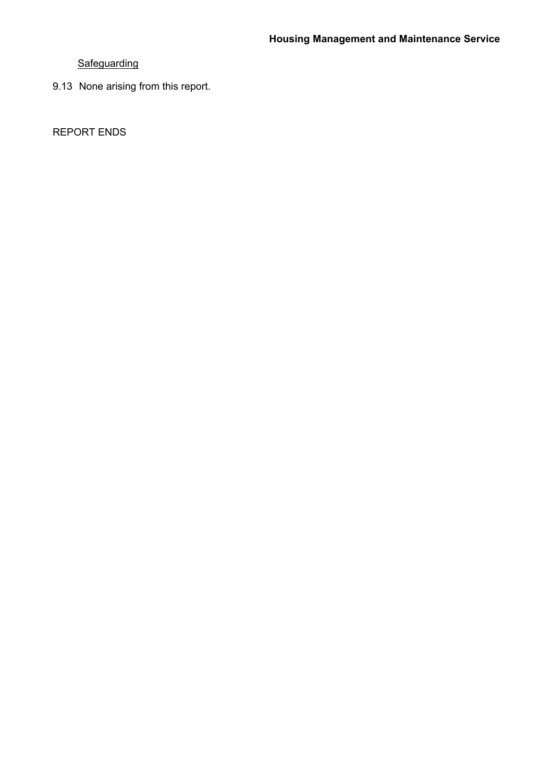# **Safeguarding**

9.13 None arising from this report.

REPORT ENDS